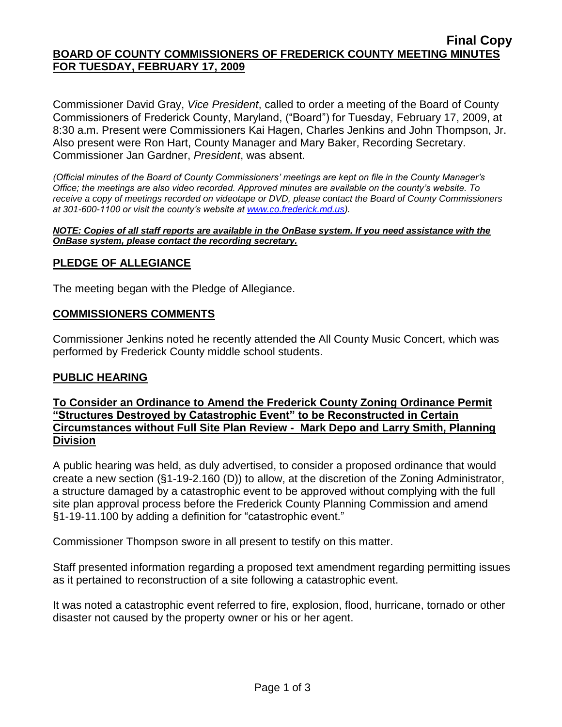#### **Final Copy BOARD OF COUNTY COMMISSIONERS OF FREDERICK COUNTY MEETING MINUTES FOR TUESDAY, FEBRUARY 17, 2009**

Commissioner David Gray, *Vice President*, called to order a meeting of the Board of County Commissioners of Frederick County, Maryland, ("Board") for Tuesday, February 17, 2009, at 8:30 a.m. Present were Commissioners Kai Hagen, Charles Jenkins and John Thompson, Jr. Also present were Ron Hart, County Manager and Mary Baker, Recording Secretary. Commissioner Jan Gardner, *President*, was absent.

*(Official minutes of the Board of County Commissioners' meetings are kept on file in the County Manager's Office; the meetings are also video recorded. Approved minutes are available on the county's website. To receive a copy of meetings recorded on videotape or DVD, please contact the Board of County Commissioners at 301-600-1100 or visit the county's website at [www.co.frederick.md.us\)](http://www.co.frederick.md.us/).*

#### *NOTE: Copies of all staff reports are available in the OnBase system. If you need assistance with the OnBase system, please contact the recording secretary.*

# **PLEDGE OF ALLEGIANCE**

The meeting began with the Pledge of Allegiance.

#### **COMMISSIONERS COMMENTS**

Commissioner Jenkins noted he recently attended the All County Music Concert, which was performed by Frederick County middle school students.

#### **PUBLIC HEARING**

# **To Consider an Ordinance to Amend the Frederick County Zoning Ordinance Permit "Structures Destroyed by Catastrophic Event" to be Reconstructed in Certain Circumstances without Full Site Plan Review - Mark Depo and Larry Smith, Planning Division**

A public hearing was held, as duly advertised, to consider a proposed ordinance that would create a new section (§1-19-2.160 (D)) to allow, at the discretion of the Zoning Administrator, a structure damaged by a catastrophic event to be approved without complying with the full site plan approval process before the Frederick County Planning Commission and amend §1-19-11.100 by adding a definition for "catastrophic event."

Commissioner Thompson swore in all present to testify on this matter.

Staff presented information regarding a proposed text amendment regarding permitting issues as it pertained to reconstruction of a site following a catastrophic event.

It was noted a catastrophic event referred to fire, explosion, flood, hurricane, tornado or other disaster not caused by the property owner or his or her agent.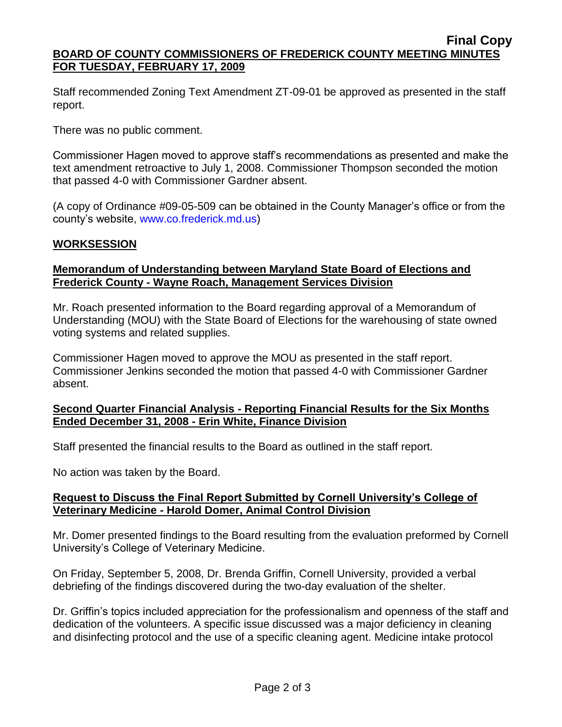#### **Final Copy BOARD OF COUNTY COMMISSIONERS OF FREDERICK COUNTY MEETING MINUTES FOR TUESDAY, FEBRUARY 17, 2009**

Staff recommended Zoning Text Amendment ZT-09-01 be approved as presented in the staff report.

There was no public comment.

Commissioner Hagen moved to approve staff's recommendations as presented and make the text amendment retroactive to July 1, 2008. Commissioner Thompson seconded the motion that passed 4-0 with Commissioner Gardner absent.

(A copy of Ordinance #09-05-509 can be obtained in the County Manager's office or from the county's website, [www.co.frederick.md.us\)](www.co.frederick.md.us)

# **WORKSESSION**

# **Memorandum of Understanding between Maryland State Board of Elections and Frederick County - Wayne Roach, Management Services Division**

Mr. Roach presented information to the Board regarding approval of a Memorandum of Understanding (MOU) with the State Board of Elections for the warehousing of state owned voting systems and related supplies.

Commissioner Hagen moved to approve the MOU as presented in the staff report. Commissioner Jenkins seconded the motion that passed 4-0 with Commissioner Gardner absent.

# **Second Quarter Financial Analysis - Reporting Financial Results for the Six Months Ended December 31, 2008 - Erin White, Finance Division**

Staff presented the financial results to the Board as outlined in the staff report.

No action was taken by the Board.

# **Request to Discuss the Final Report Submitted by Cornell University's College of Veterinary Medicine - Harold Domer, Animal Control Division**

Mr. Domer presented findings to the Board resulting from the evaluation preformed by Cornell University's College of Veterinary Medicine.

On Friday, September 5, 2008, Dr. Brenda Griffin, Cornell University, provided a verbal debriefing of the findings discovered during the two-day evaluation of the shelter.

Dr. Griffin's topics included appreciation for the professionalism and openness of the staff and dedication of the volunteers. A specific issue discussed was a major deficiency in cleaning and disinfecting protocol and the use of a specific cleaning agent. Medicine intake protocol